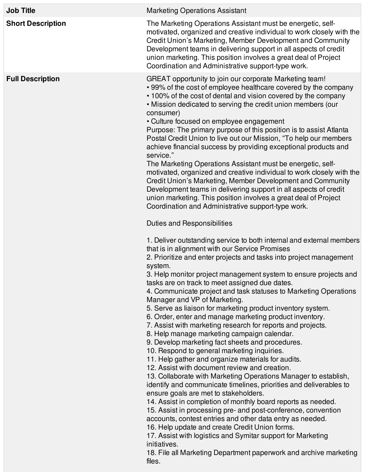| <b>Job Title</b>         | <b>Marketing Operations Assistant</b>                                                                                                                                                                                                                                                                                                                                                                                                                                                                                                                                                                                                                                                                                                                                                                                                                                                                                                                                                                                                                                                                                                                                                                                                                                                                                                                                                                                                                                                                                                                                                                                                                                                                                                                                                                                                                                                                                                                                                                                                                                                                                                                                                                                                                                                                                                                                                                                                                                            |
|--------------------------|----------------------------------------------------------------------------------------------------------------------------------------------------------------------------------------------------------------------------------------------------------------------------------------------------------------------------------------------------------------------------------------------------------------------------------------------------------------------------------------------------------------------------------------------------------------------------------------------------------------------------------------------------------------------------------------------------------------------------------------------------------------------------------------------------------------------------------------------------------------------------------------------------------------------------------------------------------------------------------------------------------------------------------------------------------------------------------------------------------------------------------------------------------------------------------------------------------------------------------------------------------------------------------------------------------------------------------------------------------------------------------------------------------------------------------------------------------------------------------------------------------------------------------------------------------------------------------------------------------------------------------------------------------------------------------------------------------------------------------------------------------------------------------------------------------------------------------------------------------------------------------------------------------------------------------------------------------------------------------------------------------------------------------------------------------------------------------------------------------------------------------------------------------------------------------------------------------------------------------------------------------------------------------------------------------------------------------------------------------------------------------------------------------------------------------------------------------------------------------|
| <b>Short Description</b> | The Marketing Operations Assistant must be energetic, self-<br>motivated, organized and creative individual to work closely with the<br>Credit Union's Marketing, Member Development and Community<br>Development teams in delivering support in all aspects of credit<br>union marketing. This position involves a great deal of Project<br>Coordination and Administrative support-type work.                                                                                                                                                                                                                                                                                                                                                                                                                                                                                                                                                                                                                                                                                                                                                                                                                                                                                                                                                                                                                                                                                                                                                                                                                                                                                                                                                                                                                                                                                                                                                                                                                                                                                                                                                                                                                                                                                                                                                                                                                                                                                  |
| <b>Full Description</b>  | GREAT opportunity to join our corporate Marketing team!<br>• 99% of the cost of employee healthcare covered by the company<br>• 100% of the cost of dental and vision covered by the company<br>. Mission dedicated to serving the credit union members (our<br>consumer)<br>• Culture focused on employee engagement<br>Purpose: The primary purpose of this position is to assist Atlanta<br>Postal Credit Union to live out our Mission, "To help our members<br>achieve financial success by providing exceptional products and<br>service."<br>The Marketing Operations Assistant must be energetic, self-<br>motivated, organized and creative individual to work closely with the<br>Credit Union's Marketing, Member Development and Community<br>Development teams in delivering support in all aspects of credit<br>union marketing. This position involves a great deal of Project<br>Coordination and Administrative support-type work.<br><b>Duties and Responsibilities</b><br>1. Deliver outstanding service to both internal and external members<br>that is in alignment with our Service Promises<br>2. Prioritize and enter projects and tasks into project management<br>system.<br>3. Help monitor project management system to ensure projects and<br>tasks are on track to meet assigned due dates.<br>4. Communicate project and task statuses to Marketing Operations<br>Manager and VP of Marketing.<br>5. Serve as liaison for marketing product inventory system.<br>6. Order, enter and manage marketing product inventory.<br>7. Assist with marketing research for reports and projects.<br>8. Help manage marketing campaign calendar.<br>9. Develop marketing fact sheets and procedures.<br>10. Respond to general marketing inquiries.<br>11. Help gather and organize materials for audits.<br>12. Assist with document review and creation.<br>13. Collaborate with Marketing Operations Manager to establish,<br>identify and communicate timelines, priorities and deliverables to<br>ensure goals are met to stakeholders.<br>14. Assist in completion of monthly board reports as needed.<br>15. Assist in processing pre- and post-conference, convention<br>accounts, contest entries and other data entry as needed.<br>16. Help update and create Credit Union forms.<br>17. Assist with logistics and Symitar support for Marketing<br>initiatives.<br>18. File all Marketing Department paperwork and archive marketing<br>files. |